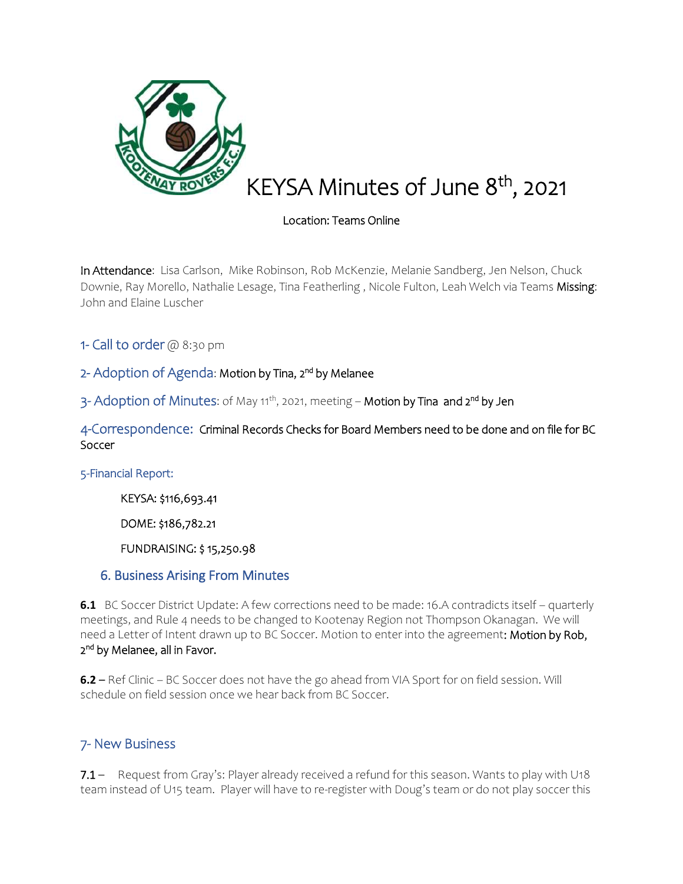

# KEYSA Minutes of June 8<sup>th</sup>, 2021

# Location: Teams Online

In Attendance: Lisa Carlson, Mike Robinson, Rob McKenzie, Melanie Sandberg, Jen Nelson, Chuck Downie, Ray Morello, Nathalie Lesage, Tina Featherling, Nicole Fulton, Leah Welch via Teams Missing: John and Elaine Luscher

1- Call to order  $@@3:30$  pm

# 2- Adoption of Agenda: Motion by Tina, 2<sup>nd</sup> by Melanee

3- Adoption of Minutes: of May 11<sup>th</sup>, 2021, meeting – **Motion by Tina and 2<sup>nd</sup> by Jen** 

4-Correspondence: Criminal Records Checks for Board Members need to be done and on file for BC Soccer

5-Financial Report:

KEYSA: \$116,693.41

DOME: \$186,782.21

FUNDRAISING: \$ 15,250.98

### 6. Business Arising From Minutes

**6.1** BC Soccer District Update: A few corrections need to be made: 16.A contradicts itself – quarterly meetings, and Rule 4 needs to be changed to Kootenay Region not Thompson Okanagan. We will need a Letter of Intent drawn up to BC Soccer. Motion to enter into the agreement: Motion by Rob, 2<sup>nd</sup> by Melanee, all in Favor.

**6.2** – Ref Clinic – BC Soccer does not have the go ahead from VIA Sport for on field session. Will schedule on field session once we hear back from BC Soccer.

# 7- New Business

7.1 – Request from Gray's: Player already received a refund for this season. Wants to play with U18 team instead of U15 team. Player will have to re-register with Doug's team or do not play soccer this